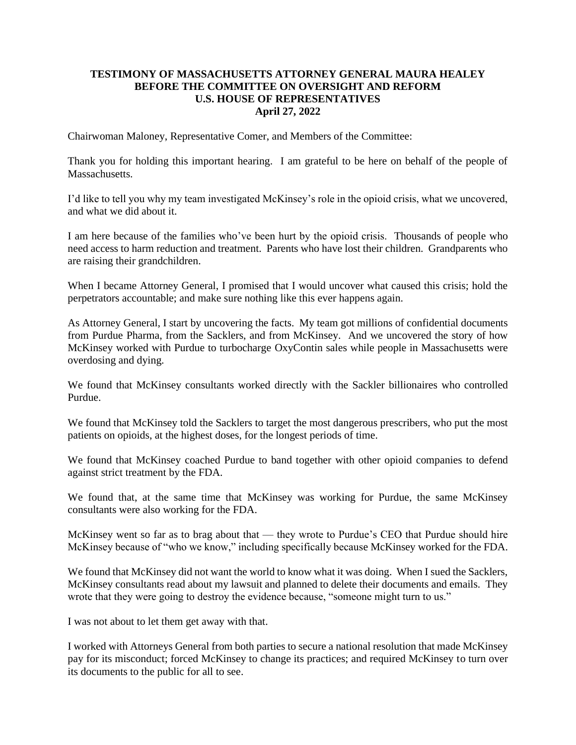## **TESTIMONY OF MASSACHUSETTS ATTORNEY GENERAL MAURA HEALEY BEFORE THE COMMITTEE ON OVERSIGHT AND REFORM U.S. HOUSE OF REPRESENTATIVES April 27, 2022**

Chairwoman Maloney, Representative Comer, and Members of the Committee:

Thank you for holding this important hearing. I am grateful to be here on behalf of the people of Massachusetts.

I'd like to tell you why my team investigated McKinsey's role in the opioid crisis, what we uncovered, and what we did about it.

I am here because of the families who've been hurt by the opioid crisis. Thousands of people who need access to harm reduction and treatment. Parents who have lost their children. Grandparents who are raising their grandchildren.

When I became Attorney General, I promised that I would uncover what caused this crisis; hold the perpetrators accountable; and make sure nothing like this ever happens again.

As Attorney General, I start by uncovering the facts. My team got millions of confidential documents from Purdue Pharma, from the Sacklers, and from McKinsey. And we uncovered the story of how McKinsey worked with Purdue to turbocharge OxyContin sales while people in Massachusetts were overdosing and dying.

We found that McKinsey consultants worked directly with the Sackler billionaires who controlled Purdue.

We found that McKinsey told the Sacklers to target the most dangerous prescribers, who put the most patients on opioids, at the highest doses, for the longest periods of time.

We found that McKinsey coached Purdue to band together with other opioid companies to defend against strict treatment by the FDA.

We found that, at the same time that McKinsey was working for Purdue, the same McKinsey consultants were also working for the FDA.

McKinsey went so far as to brag about that — they wrote to Purdue's CEO that Purdue should hire McKinsey because of "who we know," including specifically because McKinsey worked for the FDA.

We found that McKinsey did not want the world to know what it was doing. When I sued the Sacklers, McKinsey consultants read about my lawsuit and planned to delete their documents and emails. They wrote that they were going to destroy the evidence because, "someone might turn to us."

I was not about to let them get away with that.

I worked with Attorneys General from both parties to secure a national resolution that made McKinsey pay for its misconduct; forced McKinsey to change its practices; and required McKinsey to turn over its documents to the public for all to see.